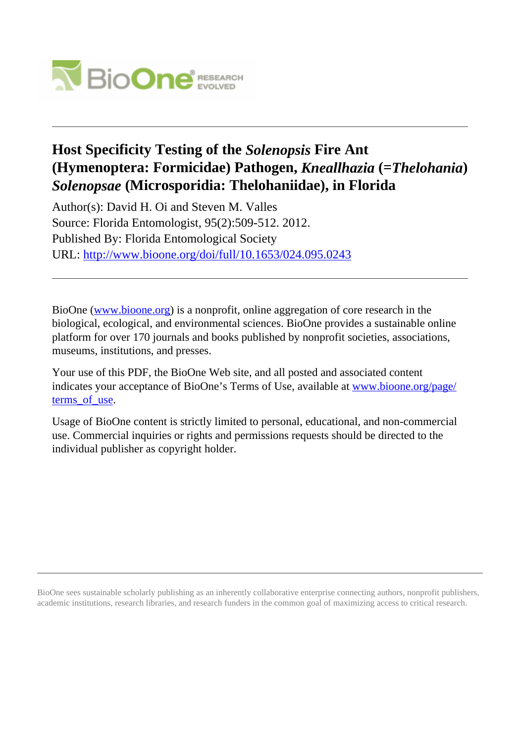

## **Host Specificity Testing of the** *Solenopsis* **Fire Ant (Hymenoptera: Formicidae) Pathogen,** *Kneallhazia* **(=***Thelohania***)** *Solenopsae* **(Microsporidia: Thelohaniidae), in Florida**

Author(s): David H. Oi and Steven M. Valles Source: Florida Entomologist, 95(2):509-512. 2012. Published By: Florida Entomological Society URL: <http://www.bioone.org/doi/full/10.1653/024.095.0243>

BioOne [\(www.bioone.org\)](http://www.bioone.org) is a nonprofit, online aggregation of core research in the biological, ecological, and environmental sciences. BioOne provides a sustainable online platform for over 170 journals and books published by nonprofit societies, associations, museums, institutions, and presses.

Your use of this PDF, the BioOne Web site, and all posted and associated content indicates your acceptance of BioOne's Terms of Use, available at [www.bioone.org/page/](http://www.bioone.org/page/terms_of_use) terms of use.

Usage of BioOne content is strictly limited to personal, educational, and non-commercial use. Commercial inquiries or rights and permissions requests should be directed to the individual publisher as copyright holder.

BioOne sees sustainable scholarly publishing as an inherently collaborative enterprise connecting authors, nonprofit publishers, academic institutions, research libraries, and research funders in the common goal of maximizing access to critical research.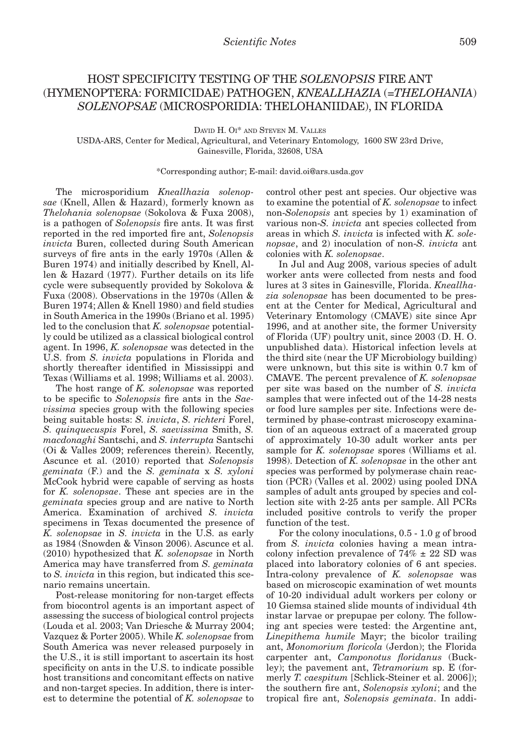## HOST SPECIFICITY TESTING OF THE *SOLENOPSIS* FIRE ANT (HYMENOPTERA: FORMICIDAE) PATHOGEN, *KNEALLHAZIA* (=*THELOHANIA*) *SOLENOPSAE* (MICROSPORIDIA: THELOHANIIDAE), IN FLORIDA

David H. Oi\* and Steven M. Valles

USDA-ARS, Center for Medical, Agricultural, and Veterinary Entomology, 1600 SW 23rd Drive, Gainesville, Florida, 32608, USA

\*Corresponding author; E-mail: david.oi@ars.usda.gov

The microsporidium *Kneallhazia solenopsae* (Knell, Allen & Hazard), formerly known as *Thelohania solenopsae* (Sokolova & Fuxa 2008), is a pathogen of *Solenopsis* fire ants. It was first reported in the red imported fire ant, *Solenopsis invicta* Buren, collected during South American surveys of fire ants in the early 1970s (Allen & Buren 1974) and initially described by Knell, Allen & Hazard (1977). Further details on its life cycle were subsequently provided by Sokolova & Fuxa (2008). Observations in the 1970s (Allen & Buren 1974; Allen & Knell 1980) and field studies in South America in the 1990s (Briano et al. 1995) led to the conclusion that *K. solenopsae* potentially could be utilized as a classical biological control agent. In 1996, *K. solenopsae* was detected in the U.S. from *S. invicta* populations in Florida and shortly thereafter identified in Mississippi and Texas (Williams et al. 1998; Williams et al. 2003).

The host range of *K. solenopsae* was reported to be specific to *Solenopsis* fire ants in the *Saevissima* species group with the following species being suitable hosts: *S. invicta*, *S. richteri* Forel, *S. quinquecuspis* Forel, *S. saevissima* Smith, *S. macdonaghi* Santschi, and *S. interrupta* Santschi (Oi & Valles 2009; references therein). Recently, Ascunce et al. (2010) reported that *Solenopsis geminata* (F.) and the *S. geminata* x *S. xyloni* McCook hybrid were capable of serving as hosts for *K. solenopsae*. These ant species are in the *geminata* species group and are native to North America. Examination of archived *S. invicta* specimens in Texas documented the presence of *K. solenopsae* in *S. invicta* in the U.S. as early as 1984 (Snowden & Vinson 2006). Ascunce et al. (2010) hypothesized that *K. solenopsae* in North America may have transferred from *S. geminata* to *S. invicta* in this region, but indicated this scenario remains uncertain.

Post-release monitoring for non-target effects from biocontrol agents is an important aspect of assessing the success of biological control projects (Louda et al. 2003; Van Driesche & Murray 2004; Vazquez & Porter 2005). While *K. solenopsae* from South America was never released purposely in the U.S., it is still important to ascertain its host specificity on ants in the U.S. to indicate possible host transitions and concomitant effects on native and non-target species. In addition, there is interest to determine the potential of *K. solenopsae* to control other pest ant species. Our objective was to examine the potential of *K. solenopsae* to infect non-*Solenopsis* ant species by 1) examination of various non-*S. invicta* ant species collected from areas in which *S. invicta* is infected with *K. solenopsae*, and 2) inoculation of non-*S. invicta* ant colonies with *K. solenopsae*.

In Jul and Aug 2008, various species of adult worker ants were collected from nests and food lures at 3 sites in Gainesville, Florida. *Kneallhazia solenopsae* has been documented to be present at the Center for Medical, Agricultural and Veterinary Entomology (CMAVE) site since Apr 1996, and at another site, the former University of Florida (UF) poultry unit, since 2003 (D. H. O. unpublished data). Historical infection levels at the third site (near the UF Microbiology building) were unknown, but this site is within 0.7 km of CMAVE. The percent prevalence of *K. solenopsae* per site was based on the number of *S. invicta* samples that were infected out of the 14-28 nests or food lure samples per site. Infections were determined by phase-contrast microscopy examination of an aqueous extract of a macerated group of approximately 10-30 adult worker ants per sample for *K. solenopsae* spores (Williams et al. 1998). Detection of *K. solenopsae* in the other ant species was performed by polymerase chain reaction (PCR) (Valles et al. 2002) using pooled DNA samples of adult ants grouped by species and collection site with 2-25 ants per sample. All PCRs included positive controls to verify the proper function of the test.

For the colony inoculations, 0.5 - 1.0 g of brood from *S. invicta* colonies having a mean intracolony infection prevalence of  $74\% \pm 22$  SD was placed into laboratory colonies of 6 ant species. Intra-colony prevalence of *K. solenopsae* was based on microscopic examination of wet mounts of 10-20 individual adult workers per colony or 10 Giemsa stained slide mounts of individual 4th instar larvae or prepupae per colony. The following ant species were tested: the Argentine ant, *Linepithema humile* Mayr; the bicolor trailing ant, *Monomorium floricola* (Jerdon); the Florida carpenter ant, *Camponotus floridanus* (Buckley); the pavement ant, *Tetramorium* sp. E (formerly *T. caespitum* [Schlick-Steiner et al. 2006]); the southern fire ant, *Solenopsis xyloni*; and the tropical fire ant, *Solenopsis geminata*. In addi-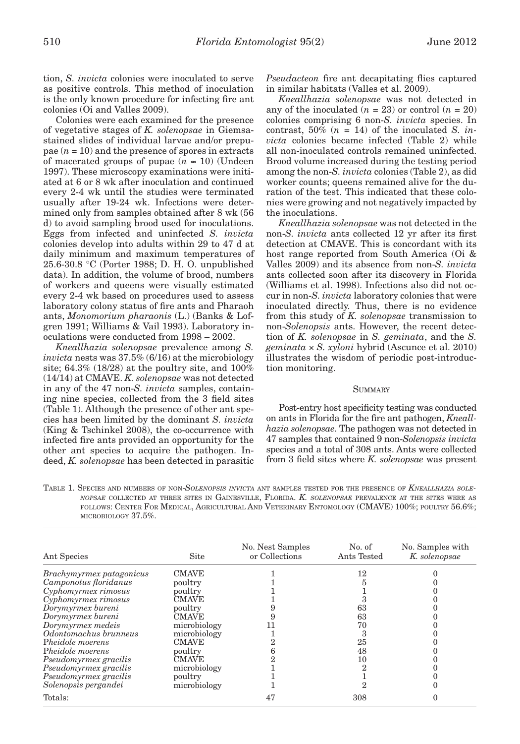tion, *S. invicta* colonies were inoculated to serve as positive controls. This method of inoculation is the only known procedure for infecting fire ant colonies (Oi and Valles 2009).

Colonies were each examined for the presence of vegetative stages of *K. solenopsae* in Giemsastained slides of individual larvae and/or prepupae  $(n = 10)$  and the presence of spores in extracts of macerated groups of pupae  $(n \approx 10)$  (Undeen 1997). These microscopy examinations were initiated at 6 or 8 wk after inoculation and continued every 2-4 wk until the studies were terminated usually after 19-24 wk. Infections were determined only from samples obtained after 8 wk (56 d) to avoid sampling brood used for inoculations. Eggs from infected and uninfected *S. invicta* colonies develop into adults within 29 to 47 d at daily minimum and maximum temperatures of 25.6-30.8 °C (Porter 1988; D. H. O. unpublished data). In addition, the volume of brood, numbers of workers and queens were visually estimated every 2-4 wk based on procedures used to assess laboratory colony status of fire ants and Pharaoh ants, *Monomorium pharaonis* (L.) (Banks & Lofgren 1991; Williams & Vail 1993). Laboratory inoculations were conducted from 1998 – 2002.

*Kneallhazia solenopsae* prevalence among *S. invicta* nests was 37.5% (6/16) at the microbiology site;  $64.3\%$  (18/28) at the poultry site, and  $100\%$ (14/14) at CMAVE. *K. solenopsae* was not detected in any of the 47 non-*S. invicta* samples, containing nine species, collected from the 3 field sites (Table 1). Although the presence of other ant species has been limited by the dominant *S. invicta*  (King & Tschinkel 2008), the co-occurrence with infected fire ants provided an opportunity for the other ant species to acquire the pathogen. Indeed, *K. solenopsae* has been detected in parasitic

*Pseudacteon* fire ant decapitating flies captured in similar habitats (Valles et al. 2009).

*Kneallhazia solenopsae* was not detected in any of the inoculated  $(n = 23)$  or control  $(n = 20)$ colonies comprising 6 non-*S. invicta* species. In contrast,  $50\%$  ( $n = 14$ ) of the inoculated *S. invicta* colonies became infected (Table 2) while all non-inoculated controls remained uninfected. Brood volume increased during the testing period among the non-*S. invicta* colonies (Table 2), as did worker counts; queens remained alive for the duration of the test. This indicated that these colonies were growing and not negatively impacted by the inoculations.

*Kneallhazia solenopsae* was not detected in the non-*S. invicta* ants collected 12 yr after its first detection at CMAVE. This is concordant with its host range reported from South America (Oi & Valles 2009) and its absence from non-*S. invicta* ants collected soon after its discovery in Florida (Williams et al. 1998). Infections also did not occur in non-*S. invicta* laboratory colonies that were inoculated directly. Thus, there is no evidence from this study of *K. solenopsae* transmission to non-*Solenopsis* ants. However, the recent detection of *K. solenopsae* in *S. geminata*, and the *S. geminata* × *S. xyloni* hybrid (Ascunce et al. 2010) illustrates the wisdom of periodic post-introduction monitoring.

## **SUMMARY**

Post-entry host specificity testing was conducted on ants in Florida for the fire ant pathogen, *Kneallhazia solenopsae*. The pathogen was not detected in 47 samples that contained 9 non-*Solenopsis invicta* species and a total of 308 ants. Ants were collected from 3 field sites where *K. solenopsae* was present

Table 1. Species and numbers of non-*Solenopsis invicta* ant samples tested for the presence of *Kneallhazia solenopsae* collected at three sites in Gainesville, Florida. *K. solenopsae* prevalence at the sites were as follows: Center For Medical, Agricultural And Veterinary Entomology (CMAVE) 100%; poultry 56.6%; microbiology 37.5%.

| Ant Species                     | Site         | No. Nest Samples<br>or Collections | No. of<br>Ants Tested | No. Samples with<br>K. solenopsae |
|---------------------------------|--------------|------------------------------------|-----------------------|-----------------------------------|
| <i>Brachymyrmex patagonicus</i> | <b>CMAVE</b> |                                    | 12                    |                                   |
| Camponotus floridanus           | poultry      |                                    |                       |                                   |
| Cyphomyrmex rimosus             | poultry      |                                    |                       |                                   |
| Cyphomyrmex rimosus             | <b>CMAVE</b> |                                    |                       |                                   |
| Dorymyrmex bureni               | poultry      |                                    | 63                    |                                   |
| Dorymyrmex bureni               | CMAVE        |                                    | 63                    |                                   |
| Dorymyrmex medeis               | microbiology |                                    | 70                    |                                   |
| Odontomachus brunneus           | microbiology |                                    |                       |                                   |
| Pheidole moerens                | <b>CMAVE</b> |                                    | 25                    |                                   |
| Pheidole moerens                | poultry      |                                    | 48                    |                                   |
| Pseudomyrmex gracilis           | <b>CMAVE</b> |                                    | 10                    |                                   |
| Pseudomyrmex gracilis           | microbiology |                                    |                       |                                   |
| Pseudomyrmex gracilis           | poultry      |                                    |                       |                                   |
| Solenopsis pergandei            | microbiology |                                    |                       |                                   |
| Totals:                         |              | 47                                 | 308                   |                                   |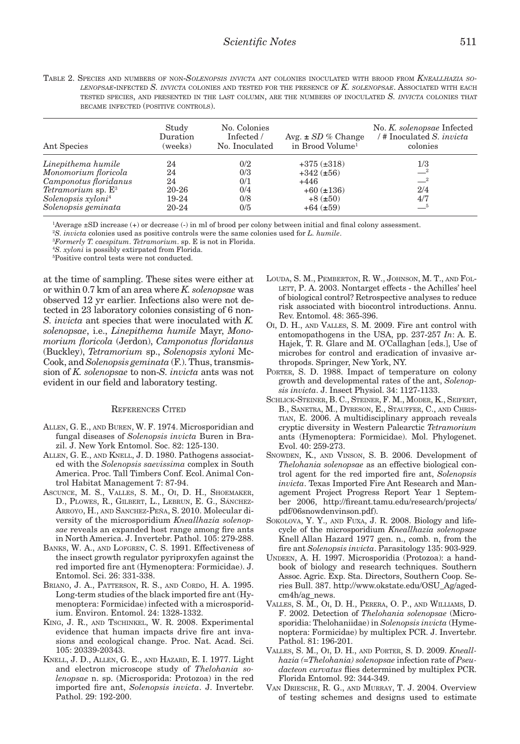| TABLE 2. SPECIES AND NUMBERS OF NON-SOLENOPSIS INVICTA ANT COLONIES INOCULATED WITH BROOD FROM KNEALLHAZIA SO- |  |  |
|----------------------------------------------------------------------------------------------------------------|--|--|
| LENOPSAE-INFECTED S. INVICTA COLONIES AND TESTED FOR THE PRESENCE OF K. SOLENOPSAE. ASSOCIATED WITH EACH       |  |  |
| TESTED SPECIES. AND PRESENTED IN THE LAST COLUMN, ARE THE NUMBERS OF INOCULATED S. INVICTA COLONIES THAT       |  |  |
| BECAME INFECTED (POSITIVE CONTROLS).                                                                           |  |  |

| Ant Species                    | Study<br>Duration<br>(weeks) | No. Colonies<br>Infected /<br>No. Inoculated | Avg. $\pm SD$ % Change<br>in Brood Volume <sup>1</sup> | No. K. solenopsae Infected<br># Inoculated S. <i>invicta</i><br>colonies |
|--------------------------------|------------------------------|----------------------------------------------|--------------------------------------------------------|--------------------------------------------------------------------------|
| Linepithema humile             | 24                           | 0/2                                          | $+375 (\pm 318)$                                       | 1/3                                                                      |
| Monomorium floricola           | 24                           | 0/3                                          | $+342 (\pm 56)$                                        | $-2$                                                                     |
| Camponotus floridanus          | 24                           | 0/1                                          | $+446$                                                 | $-2$                                                                     |
| Tetramorium sp. $E^3$          | 20-26                        | 0/4                                          | $+60$ ( $\pm$ 136)                                     | 2/4                                                                      |
| Solenopsis xyloni <sup>4</sup> | 19-24                        | 0/8                                          | $+8$ ( $\pm 50$ )                                      | 4/7                                                                      |
| Solenopsis geminata            | 20-24                        | 0/5                                          | $+64 (\pm 59)$                                         | $-^{5}$                                                                  |

1 Average ±SD increase (+) or decrease (-) in ml of brood per colony between initial and final colony assessment.

2 *S. invicta* colonies used as positive controls were the same colonies used for *L. humile*.

3 *Formerly T. caespitum*. *Tetramorium*. sp. E is not in Florida.

<sup>4</sup>S. *xyloni* is possibly extirpated from Florida.<br><sup>5</sup>Positive control tests were not conducted

Positive control tests were not conducted.

at the time of sampling. These sites were either at or within 0.7 km of an area where *K. solenopsae* was observed 12 yr earlier. Infections also were not detected in 23 laboratory colonies consisting of 6 non-*S. invicta* ant species that were inoculated with *K. solenopsae*, i.e., *Linepithema humile* Mayr, *Monomorium floricola* (Jerdon), *Camponotus floridanus* (Buckley), *Tetramorium* sp., *Solenopsis xyloni* Mc-Cook, and *Solenopsis geminata* (F.). Thus, transmission of *K. solenopsae* to non-*S. invicta* ants was not evident in our field and laboratory testing.

## References Cited

- Allen, G. E., and Buren, W. F. 1974. Microsporidian and fungal diseases of *Solenopsis invicta* Buren in Brazil. J. New York Entomol. Soc. 82: 125-130.
- ALLEN, G. E., AND KNELL, J. D. 1980. Pathogens associated with the *Solenopsis saevissima* complex in South America. Proc. Tall Timbers Conf. Ecol. Animal Control Habitat Management 7: 87-94.
- Ascunce, M. S., Valles, S. M., Oi, D. H., Shoemaker, D., Plowes, R., Gilbert, L., Lebrun, E. G., Sánchez-Arroyo, H., and Sanchez-Peña, S. 2010. Molecular diversity of the microsporidium *Kneallhazia solenopsae* reveals an expanded host range among fire ants in North America. J. Invertebr. Pathol. 105: 279-288.
- BANKS, W. A., AND LOFGREN, C. S. 1991. Effectiveness of the insect growth regulator pyriproxyfen against the red imported fire ant (Hymenoptera: Formicidae). J. Entomol. Sci. 26: 331-338.
- Briano, J. A., Patterson, R. S., and Cordo, H. A. 1995. Long-term studies of the black imported fire ant (Hymenoptera: Formicidae) infected with a microsporidium. Environ. Entomol. 24: 1328-1332.
- KING, J. R., AND TSCHINKEL, W. R. 2008. Experimental evidence that human impacts drive fire ant invasions and ecological change. Proc. Nat. Acad. Sci. 105: 20339-20343.
- Knell, J. D., Allen, G. E., and Hazard, E. I. 1977. Light and electron microscope study of *Thelohania solenopsae* n. sp. (Microsporida: Protozoa) in the red imported fire ant, *Solenopsis invicta*. J. Invertebr. Pathol. 29: 192-200.
- Louda, S. M., Pemberton, R. W., Johnson, M. T., and Fol-LETT, P. A. 2003. Nontarget effects - the Achilles' heel of biological control? Retrospective analyses to reduce risk associated with biocontrol introductions. Annu. Rev. Entomol. 48: 365-396.
- Oi, D. H., and Valles, S. M. 2009. Fire ant control with entomopathogens in the USA, pp. 237-257 *In*: A. E. Hajek, T. R. Glare and M. O'Callaghan [eds.], Use of microbes for control and eradication of invasive arthropods. Springer, New York, NY.
- PORTER, S. D. 1988. Impact of temperature on colony growth and developmental rates of the ant, *Solenopsis invicta*. J. Insect Physiol. 34: 1127-1133.
- Schlick-Steiner, B. C., Steiner, F. M., Moder, K., Seifert, B., Sanetra, M., Dyreson, E., Stauffer, C., and Christian, E. 2006. A multidisciplinary approach reveals cryptic diversity in Western Palearctic *Tetramorium* ants (Hymenoptera: Formicidae). Mol. Phylogenet. Evol. 40: 259-273.
- Snowden, K., and Vinson, S. B. 2006. Development of *Thelohania solenopsae* as an effective biological control agent for the red imported fire ant, *Solenopsis invicta*. Texas Imported Fire Ant Research and Management Project Progress Report Year 1 September 2006, http://fireant.tamu.edu/research/projects/ pdf/06snowdenvinson.pdf).
- Sokolova, Y. Y., and Fuxa, J. R. 2008. Biology and lifecycle of the microsporidium *Kneallhazia solenopsae* Knell Allan Hazard 1977 gen. n., comb. n, from the fire ant *Solenopsis invicta*. Parasitology 135: 903-929.
- Undeen, A. H. 1997. Microsporidia (Protozoa): a handbook of biology and research techniques. Southern Assoc. Agric. Exp. Sta. Directors, Southern Coop. Series Bull. 387. http://www.okstate.edu/OSU\_Ag/agedcm4h/ag\_news.
- Valles, S. M., Oi, D. H., Perera, O. P., and Williams, D. F. 2002. Detection of *Thelohania solenopsae* (Microsporidia: Thelohaniidae) in *Solenopsis invicta* (Hymenoptera: Formicidae) by multiplex PCR. J. Invertebr. Pathol. 81: 196-201.
- Valles, S. M., Oi, D. H., and Porter, S. D. 2009. *Kneallhazia (=Thelohania) solenopsae* infection rate of *Pseudacteon curvatus* flies determined by multiplex PCR. Florida Entomol. 92: 344-349.
- Van Driesche, R. G., and Murray, T. J. 2004. Overview of testing schemes and designs used to estimate